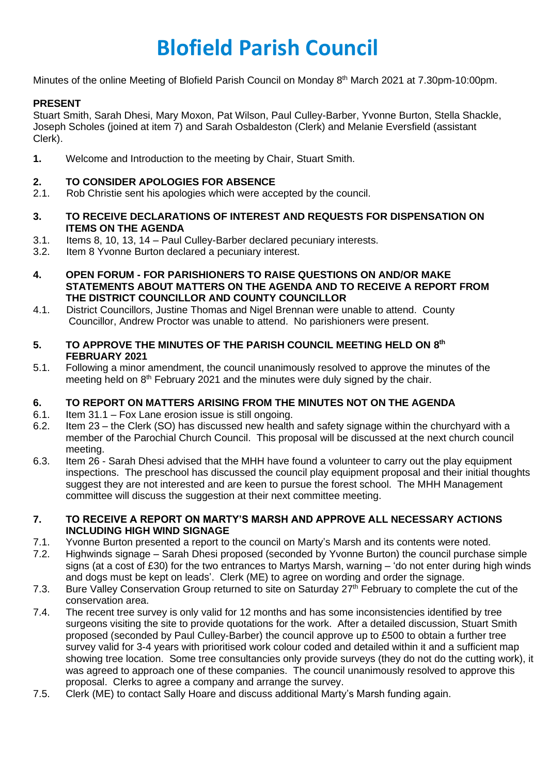# **Blofield Parish Council**

Minutes of the online Meeting of Blofield Parish Council on Monday 8<sup>th</sup> March 2021 at 7.30pm-10:00pm.

# **PRESENT**

Stuart Smith, Sarah Dhesi, Mary Moxon, Pat Wilson, Paul Culley-Barber, Yvonne Burton, Stella Shackle, Joseph Scholes (joined at item 7) and Sarah Osbaldeston (Clerk) and Melanie Eversfield (assistant Clerk).

**1.** Welcome and Introduction to the meeting by Chair, Stuart Smith.

#### **2. TO CONSIDER APOLOGIES FOR ABSENCE**

- 2.1. Rob Christie sent his apologies which were accepted by the council.
- **3. TO RECEIVE DECLARATIONS OF INTEREST AND REQUESTS FOR DISPENSATION ON ITEMS ON THE AGENDA**
- 3.1. Items 8, 10, 13, 14 Paul Culley-Barber declared pecuniary interests.
- 3.2. Item 8 Yvonne Burton declared a pecuniary interest.
- **4. OPEN FORUM - FOR PARISHIONERS TO RAISE QUESTIONS ON AND/OR MAKE STATEMENTS ABOUT MATTERS ON THE AGENDA AND TO RECEIVE A REPORT FROM THE DISTRICT COUNCILLOR AND COUNTY COUNCILLOR**
- 4.1. District Councillors, Justine Thomas and Nigel Brennan were unable to attend. County Councillor, Andrew Proctor was unable to attend. No parishioners were present.
- **5. TO APPROVE THE MINUTES OF THE PARISH COUNCIL MEETING HELD ON 8 th FEBRUARY 2021**
- 5.1. Following a minor amendment, the council unanimously resolved to approve the minutes of the meeting held on 8<sup>th</sup> February 2021 and the minutes were duly signed by the chair.

# **6. TO REPORT ON MATTERS ARISING FROM THE MINUTES NOT ON THE AGENDA**

- 6.1. Item 31.1 Fox Lane erosion issue is still ongoing.
- 6.2. Item 23 the Clerk (SO) has discussed new health and safety signage within the churchyard with a member of the Parochial Church Council. This proposal will be discussed at the next church council meeting.
- 6.3. Item 26 Sarah Dhesi advised that the MHH have found a volunteer to carry out the play equipment inspections. The preschool has discussed the council play equipment proposal and their initial thoughts suggest they are not interested and are keen to pursue the forest school. The MHH Management committee will discuss the suggestion at their next committee meeting.

#### **7. TO RECEIVE A REPORT ON MARTY'S MARSH AND APPROVE ALL NECESSARY ACTIONS INCLUDING HIGH WIND SIGNAGE**

- 7.1. Yvonne Burton presented a report to the council on Marty's Marsh and its contents were noted.
- 7.2. Highwinds signage Sarah Dhesi proposed (seconded by Yvonne Burton) the council purchase simple signs (at a cost of £30) for the two entrances to Martys Marsh, warning – 'do not enter during high winds and dogs must be kept on leads'. Clerk (ME) to agree on wording and order the signage.
- 7.3. Bure Valley Conservation Group returned to site on Saturday 27<sup>th</sup> February to complete the cut of the conservation area.
- 7.4. The recent tree survey is only valid for 12 months and has some inconsistencies identified by tree surgeons visiting the site to provide quotations for the work. After a detailed discussion, Stuart Smith proposed (seconded by Paul Culley-Barber) the council approve up to £500 to obtain a further tree survey valid for 3-4 years with prioritised work colour coded and detailed within it and a sufficient map showing tree location. Some tree consultancies only provide surveys (they do not do the cutting work), it was agreed to approach one of these companies. The council unanimously resolved to approve this proposal. Clerks to agree a company and arrange the survey.
- 7.5. Clerk (ME) to contact Sally Hoare and discuss additional Marty's Marsh funding again.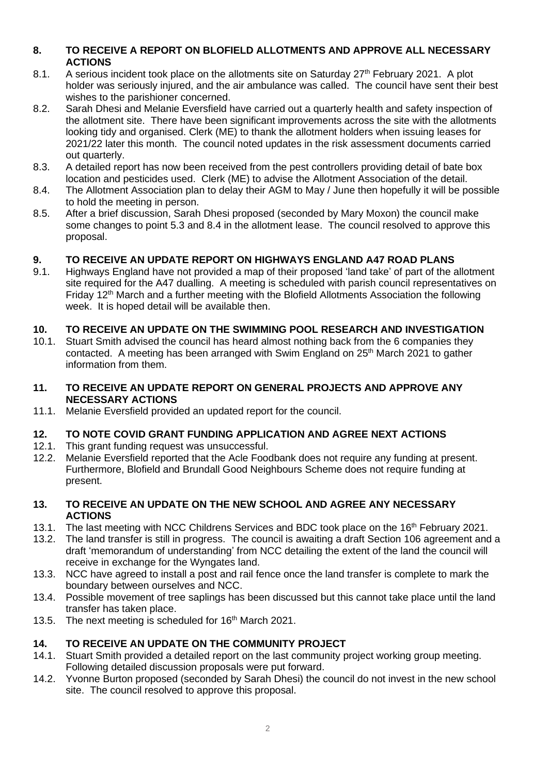#### **8. TO RECEIVE A REPORT ON BLOFIELD ALLOTMENTS AND APPROVE ALL NECESSARY ACTIONS**

- 8.1. A serious incident took place on the allotments site on Saturday  $27<sup>th</sup>$  February 2021. A plot holder was seriously injured, and the air ambulance was called. The council have sent their best wishes to the parishioner concerned.
- 8.2. Sarah Dhesi and Melanie Eversfield have carried out a quarterly health and safety inspection of the allotment site. There have been significant improvements across the site with the allotments looking tidy and organised. Clerk (ME) to thank the allotment holders when issuing leases for 2021/22 later this month. The council noted updates in the risk assessment documents carried out quarterly.
- 8.3. A detailed report has now been received from the pest controllers providing detail of bate box location and pesticides used. Clerk (ME) to advise the Allotment Association of the detail.
- 8.4. The Allotment Association plan to delay their AGM to May / June then hopefully it will be possible to hold the meeting in person.
- 8.5. After a brief discussion, Sarah Dhesi proposed (seconded by Mary Moxon) the council make some changes to point 5.3 and 8.4 in the allotment lease. The council resolved to approve this proposal.

# **9. TO RECEIVE AN UPDATE REPORT ON HIGHWAYS ENGLAND A47 ROAD PLANS**

9.1. Highways England have not provided a map of their proposed 'land take' of part of the allotment site required for the A47 dualling. A meeting is scheduled with parish council representatives on Friday  $12<sup>th</sup>$  March and a further meeting with the Blofield Allotments Association the following week. It is hoped detail will be available then.

# **10. TO RECEIVE AN UPDATE ON THE SWIMMING POOL RESEARCH AND INVESTIGATION**

10.1. Stuart Smith advised the council has heard almost nothing back from the 6 companies they contacted. A meeting has been arranged with Swim England on 25<sup>th</sup> March 2021 to gather information from them.

#### **11. TO RECEIVE AN UPDATE REPORT ON GENERAL PROJECTS AND APPROVE ANY NECESSARY ACTIONS**

11.1. Melanie Eversfield provided an updated report for the council.

# **12. TO NOTE COVID GRANT FUNDING APPLICATION AND AGREE NEXT ACTIONS**

- 12.1. This grant funding request was unsuccessful.
- 12.2. Melanie Eversfield reported that the Acle Foodbank does not require any funding at present. Furthermore, Blofield and Brundall Good Neighbours Scheme does not require funding at present.

# **13. TO RECEIVE AN UPDATE ON THE NEW SCHOOL AND AGREE ANY NECESSARY ACTIONS**

- 13.1. The last meeting with NCC Childrens Services and BDC took place on the 16<sup>th</sup> February 2021.
- 13.2. The land transfer is still in progress. The council is awaiting a draft Section 106 agreement and a draft 'memorandum of understanding' from NCC detailing the extent of the land the council will receive in exchange for the Wyngates land.
- 13.3. NCC have agreed to install a post and rail fence once the land transfer is complete to mark the boundary between ourselves and NCC.
- 13.4. Possible movement of tree saplings has been discussed but this cannot take place until the land transfer has taken place.
- 13.5. The next meeting is scheduled for 16<sup>th</sup> March 2021.

# **14. TO RECEIVE AN UPDATE ON THE COMMUNITY PROJECT**

- 14.1. Stuart Smith provided a detailed report on the last community project working group meeting. Following detailed discussion proposals were put forward.
- 14.2. Yvonne Burton proposed (seconded by Sarah Dhesi) the council do not invest in the new school site. The council resolved to approve this proposal.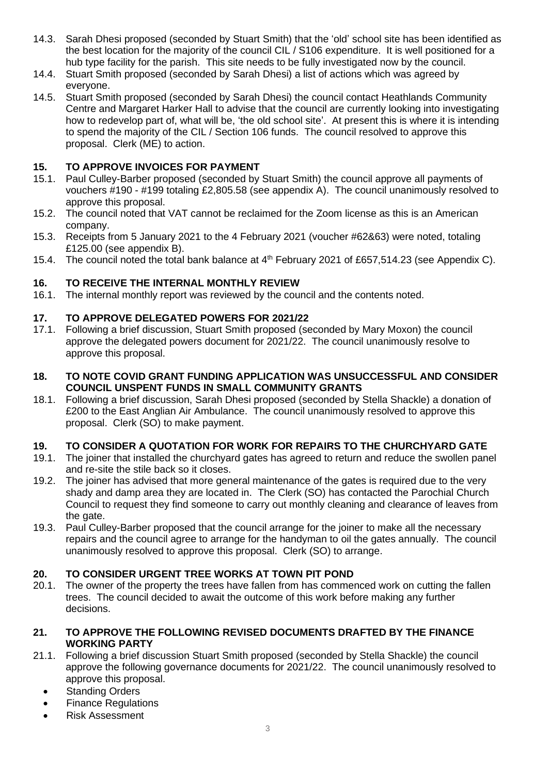- 14.3. Sarah Dhesi proposed (seconded by Stuart Smith) that the 'old' school site has been identified as the best location for the majority of the council CIL / S106 expenditure. It is well positioned for a hub type facility for the parish. This site needs to be fully investigated now by the council.
- 14.4. Stuart Smith proposed (seconded by Sarah Dhesi) a list of actions which was agreed by everyone.
- 14.5. Stuart Smith proposed (seconded by Sarah Dhesi) the council contact Heathlands Community Centre and Margaret Harker Hall to advise that the council are currently looking into investigating how to redevelop part of, what will be, 'the old school site'. At present this is where it is intending to spend the majority of the CIL / Section 106 funds. The council resolved to approve this proposal. Clerk (ME) to action.

# **15. TO APPROVE INVOICES FOR PAYMENT**

- 15.1. Paul Culley-Barber proposed (seconded by Stuart Smith) the council approve all payments of vouchers #190 - #199 totaling £2,805.58 (see appendix A). The council unanimously resolved to approve this proposal.
- 15.2. The council noted that VAT cannot be reclaimed for the Zoom license as this is an American company.
- 15.3. Receipts from 5 January 2021 to the 4 February 2021 (voucher #62&63) were noted, totaling £125.00 (see appendix B).
- 15.4. The council noted the total bank balance at 4<sup>th</sup> February 2021 of £657.514.23 (see Appendix C).

# **16. TO RECEIVE THE INTERNAL MONTHLY REVIEW**

16.1. The internal monthly report was reviewed by the council and the contents noted.

# **17. TO APPROVE DELEGATED POWERS FOR 2021/22**

- 17.1. Following a brief discussion, Stuart Smith proposed (seconded by Mary Moxon) the council approve the delegated powers document for 2021/22. The council unanimously resolve to approve this proposal.
- **18. TO NOTE COVID GRANT FUNDING APPLICATION WAS UNSUCCESSFUL AND CONSIDER COUNCIL UNSPENT FUNDS IN SMALL COMMUNITY GRANTS**
- 18.1. Following a brief discussion, Sarah Dhesi proposed (seconded by Stella Shackle) a donation of £200 to the East Anglian Air Ambulance. The council unanimously resolved to approve this proposal. Clerk (SO) to make payment.

# **19. TO CONSIDER A QUOTATION FOR WORK FOR REPAIRS TO THE CHURCHYARD GATE**

- 19.1. The joiner that installed the churchyard gates has agreed to return and reduce the swollen panel and re-site the stile back so it closes.
- 19.2. The joiner has advised that more general maintenance of the gates is required due to the very shady and damp area they are located in. The Clerk (SO) has contacted the Parochial Church Council to request they find someone to carry out monthly cleaning and clearance of leaves from the gate.
- 19.3. Paul Culley-Barber proposed that the council arrange for the joiner to make all the necessary repairs and the council agree to arrange for the handyman to oil the gates annually. The council unanimously resolved to approve this proposal. Clerk (SO) to arrange.

# **20. TO CONSIDER URGENT TREE WORKS AT TOWN PIT POND**

20.1. The owner of the property the trees have fallen from has commenced work on cutting the fallen trees. The council decided to await the outcome of this work before making any further decisions.

#### **21. TO APPROVE THE FOLLOWING REVISED DOCUMENTS DRAFTED BY THE FINANCE WORKING PARTY**

- 21.1. Following a brief discussion Stuart Smith proposed (seconded by Stella Shackle) the council approve the following governance documents for 2021/22. The council unanimously resolved to approve this proposal.
	- Standing Orders
	- Finance Regulations
	- Risk Assessment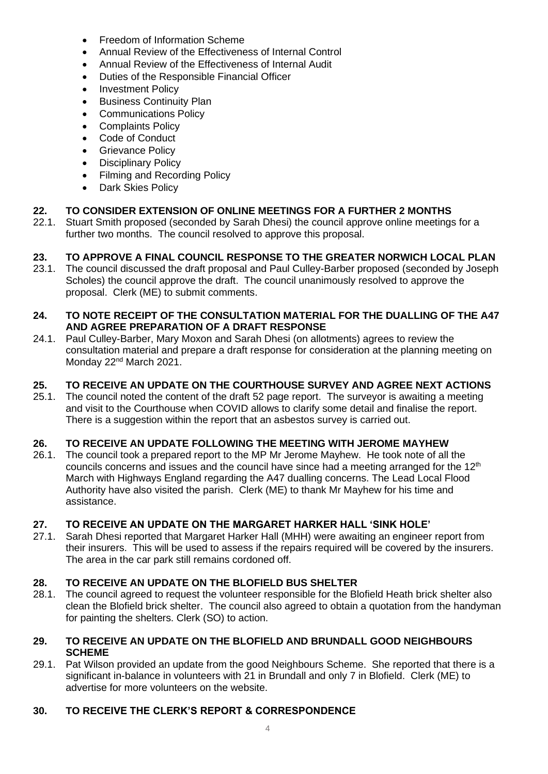- Freedom of Information Scheme
- Annual Review of the Effectiveness of Internal Control
- Annual Review of the Effectiveness of Internal Audit
- Duties of the Responsible Financial Officer
- Investment Policy
- Business Continuity Plan
- Communications Policy
- Complaints Policy
- Code of Conduct
- Grievance Policy
- Disciplinary Policy
- Filming and Recording Policy
- Dark Skies Policy

#### **22. TO CONSIDER EXTENSION OF ONLINE MEETINGS FOR A FURTHER 2 MONTHS**

22.1. Stuart Smith proposed (seconded by Sarah Dhesi) the council approve online meetings for a further two months. The council resolved to approve this proposal.

# **23. TO APPROVE A FINAL COUNCIL RESPONSE TO THE GREATER NORWICH LOCAL PLAN**

23.1. The council discussed the draft proposal and Paul Culley-Barber proposed (seconded by Joseph Scholes) the council approve the draft. The council unanimously resolved to approve the proposal. Clerk (ME) to submit comments.

#### **24. TO NOTE RECEIPT OF THE CONSULTATION MATERIAL FOR THE DUALLING OF THE A47 AND AGREE PREPARATION OF A DRAFT RESPONSE**

24.1. Paul Culley-Barber, Mary Moxon and Sarah Dhesi (on allotments) agrees to review the consultation material and prepare a draft response for consideration at the planning meeting on Monday 22<sup>nd</sup> March 2021.

#### **25. TO RECEIVE AN UPDATE ON THE COURTHOUSE SURVEY AND AGREE NEXT ACTIONS**

25.1. The council noted the content of the draft 52 page report. The surveyor is awaiting a meeting and visit to the Courthouse when COVID allows to clarify some detail and finalise the report. There is a suggestion within the report that an asbestos survey is carried out.

#### **26. TO RECEIVE AN UPDATE FOLLOWING THE MEETING WITH JEROME MAYHEW**

26.1. The council took a prepared report to the MP Mr Jerome Mayhew. He took note of all the councils concerns and issues and the council have since had a meeting arranged for the  $12<sup>th</sup>$ March with Highways England regarding the A47 dualling concerns. The Lead Local Flood Authority have also visited the parish. Clerk (ME) to thank Mr Mayhew for his time and assistance.

#### **27. TO RECEIVE AN UPDATE ON THE MARGARET HARKER HALL 'SINK HOLE'**

27.1. Sarah Dhesi reported that Margaret Harker Hall (MHH) were awaiting an engineer report from their insurers. This will be used to assess if the repairs required will be covered by the insurers. The area in the car park still remains cordoned off.

# **28. TO RECEIVE AN UPDATE ON THE BLOFIELD BUS SHELTER**

28.1. The council agreed to request the volunteer responsible for the Blofield Heath brick shelter also clean the Blofield brick shelter. The council also agreed to obtain a quotation from the handyman for painting the shelters. Clerk (SO) to action.

#### **29. TO RECEIVE AN UPDATE ON THE BLOFIELD AND BRUNDALL GOOD NEIGHBOURS SCHEME**

29.1. Pat Wilson provided an update from the good Neighbours Scheme. She reported that there is a significant in-balance in volunteers with 21 in Brundall and only 7 in Blofield. Clerk (ME) to advertise for more volunteers on the website.

#### **30. TO RECEIVE THE CLERK'S REPORT & CORRESPONDENCE**